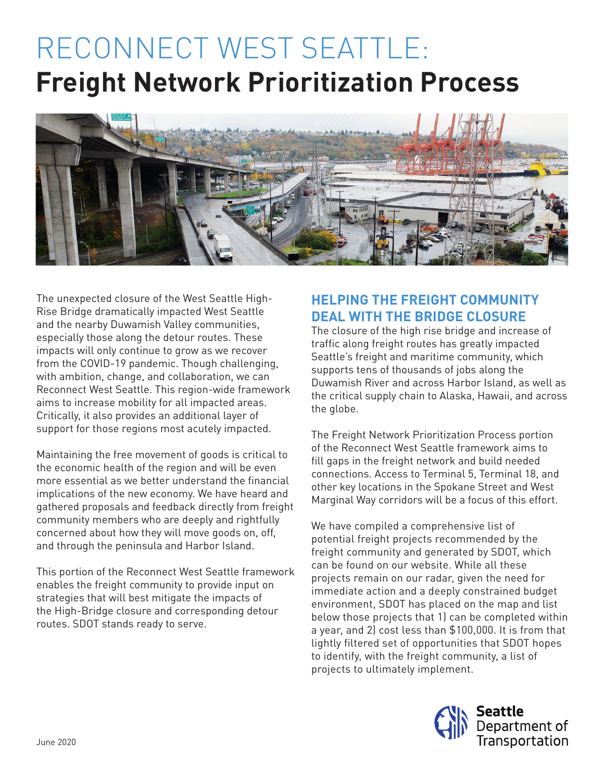# RECONNECT WEST SEATTLE: **Freight Network Prioritization Process**



The unexpected closure of the West Seattle High-Rise Bridge dramatically impacted West Seattle and the nearby Duwamish Valley communities, especially those along the detour routes. These impacts will only continue to grow as we recover from the COVID-19 pandemic. Though challenging, with ambition, change, and collaboration, we can Reconnect West Seattle. This region-wide framework aims to increase mobility for all impacted areas. Critically, it also provides an additional layer of support for those regions most acutely impacted.

Maintaining the free movement of goods is critical to the economic health of the region and will be even more essential as we better understand the financial implications of the new economy. We have heard and gathered proposals and feedback directly from freight community members who are deeply and rightfully concerned about how they will move goods on, off, and through the peninsula and Harbor Island.

This portion of the Reconnect West Seattle framework enables the freight community to provide input on strategies that will best mitigate the impacts of the High-Bridge closure and corresponding detour routes. SDOT stands ready to serve.

## **HELPING THE FREIGHT COMMUNITY DEAL WITH THE BRIDGE CLOSURE**

The closure of the high rise bridge and increase of traffic along freight routes has greatly impacted Seattle's freight and maritime community, which supports tens of thousands of jobs along the Duwamish River and across Harbor Island, as well as the critical supply chain to Alaska, Hawaii, and across the globe.

The Freight Network Prioritization Process portion of the Reconnect West Seattle framework aims to fill gaps in the freight network and build needed connections. Access to Terminal 5, Terminal 18, and other key locations in the Spokane Street and West Marginal Way corridors will be a focus of this effort.

We have compiled a comprehensive list of potential freight projects recommended by the freight community and generated by SDOT, which can be found on our website. While all these projects remain on our radar, given the need for immediate action and a deeply constrained budget environment, SDOT has placed on the map and list below those projects that 1) can be completed within a year, and 2) cost less than \$100,000. It is from that lightly filtered set of opportunities that SDOT hopes to identify, with the freight community, a list of projects to ultimately implement.

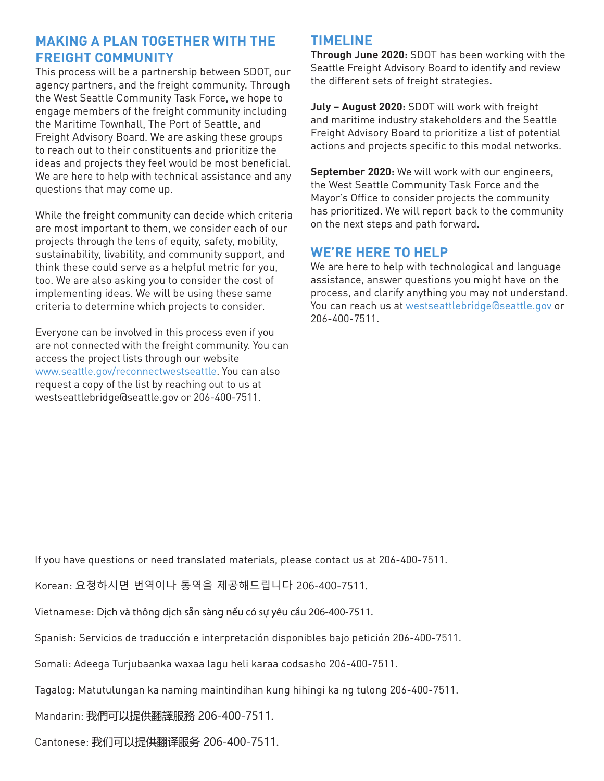### **MAKING A PLAN TOGETHER WITH THE FREIGHT COMMUNITY**

This process will be a partnership between SDOT, our agency partners, and the freight community. Through the West Seattle Community Task Force, we hope to engage members of the freight community including the Maritime Townhall, The Port of Seattle, and Freight Advisory Board. We are asking these groups to reach out to their constituents and prioritize the ideas and projects they feel would be most beneficial. We are here to help with technical assistance and any questions that may come up.

While the freight community can decide which criteria are most important to them, we consider each of our projects through the lens of equity, safety, mobility, sustainability, livability, and community support, and think these could serve as a helpful metric for you, too. We are also asking you to consider the cost of implementing ideas. We will be using these same criteria to determine which projects to consider.

Everyone can be involved in this process even if you are not connected with the freight community. You can access the project lists through our website www.seattle.gov/reconnectwestseattle. You can also request a copy of the list by reaching out to us at westseattlebridge@seattle.gov or 206-400-7511.

#### **TIMELINE**

**Through June 2020:** SDOT has been working with the Seattle Freight Advisory Board to identify and review the different sets of freight strategies.

**July – August 2020:** SDOT will work with freight and maritime industry stakeholders and the Seattle Freight Advisory Board to prioritize a list of potential actions and projects specific to this modal networks.

**September 2020:** We will work with our engineers, the West Seattle Community Task Force and the Mayor's Office to consider projects the community has prioritized. We will report back to the community on the next steps and path forward.

#### **WE'RE HERE TO HELP**

We are here to help with technological and language assistance, answer questions you might have on the process, and clarify anything you may not understand. You can reach us at westseattlebridge@seattle.gov or 206-400-7511.

If you have questions or need translated materials, please contact us at 206-400-7511.

Korean: 요청하시면 번역이나 통역을 제공해드립니다 206-400-7511.

Vietnamese: Dịch và thông dịch sẵn sàng nếu có sự yêu cầu 206-400-7511.

Spanish: Servicios de traducción e interpretación disponibles bajo petición 206-400-7511.

Somali: Adeega Turjubaanka waxaa lagu heli karaa codsasho 206-400-7511.

Tagalog: Matutulungan ka naming maintindihan kung hihingi ka ng tulong 206-400-7511.

Mandarin: 我們可以提供翻譯服務 206-400-7511.

Cantonese: 我们可以提供翻译服务 206-400-7511.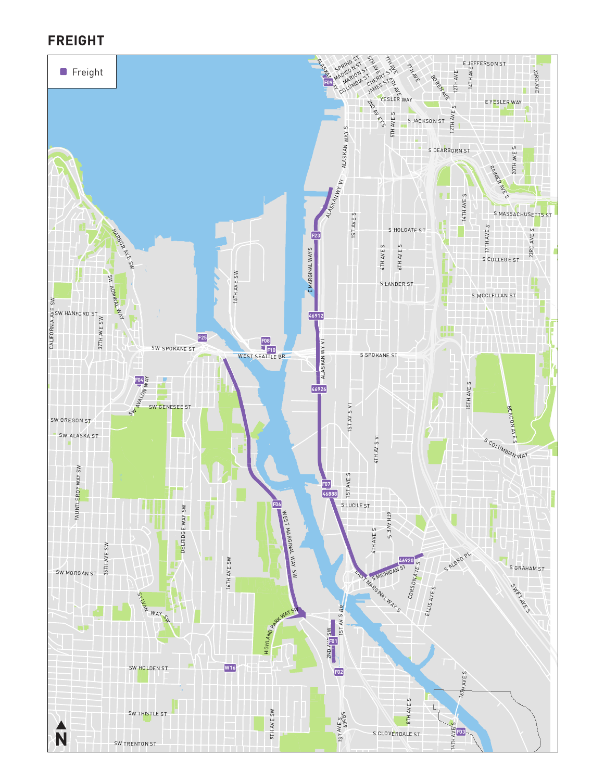#### **FREIGHT**